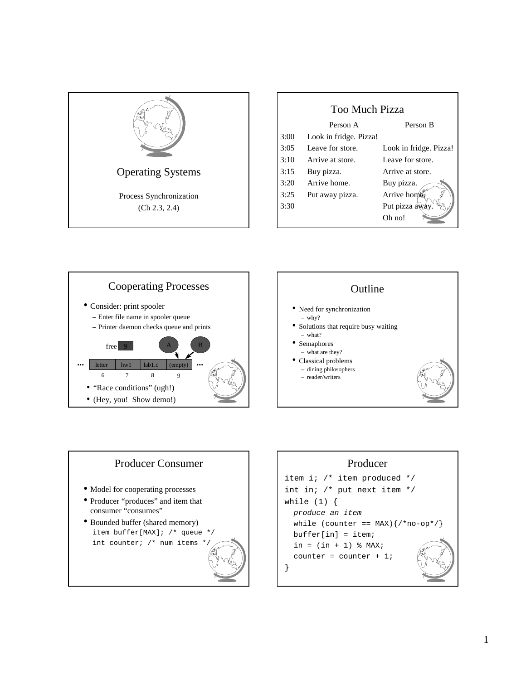

| <b>Too Much Pizza</b> |                        |                        |
|-----------------------|------------------------|------------------------|
|                       | Person A               | Person B               |
| 3:00                  | Look in fridge. Pizza! |                        |
| 3:05                  | Leave for store.       | Look in fridge. Pizza! |
| 3:10                  | Arrive at store.       | Leave for store.       |
| 3:15                  | Buy pizza.             | Arrive at store.       |
| 3:20                  | Arrive home.           | Buy pizza.             |
| 3:25                  | Put away pizza.        | Arrive home            |
| 3:30                  |                        | Put pizza awa          |
|                       |                        | Oh no!                 |







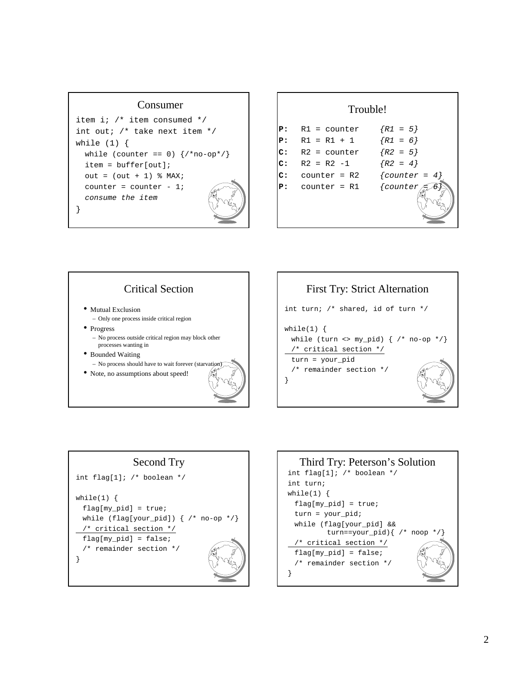#### Consumer

```
item i; /* item consumed */
int out; /* take next item */
while (1) {
  while (counter == 0) \{/*no-op*/\}item = buffer[out];
  out = (out + 1) % MAX;
  counter = counter - 1;
  consume the item
}
```

| Trouble! |                |                   |
|----------|----------------|-------------------|
| Р:       | $R1 = counter$ | $\{R1 = 5\}$      |
| Р:       | $R1 = R1 + 1$  | $\{R1 = 6\}$      |
| c:       | $R2 = counter$ | $\{R2 = 5\}$      |
| c:       | $R2 = R2 -1$   | $\{R2 = 4\}$      |
| c:       | $counter = R2$ | $\{counter = 4\}$ |
| Р:       | $counter = R1$ | $\{counter$       |



# First Try: Strict Alternation int turn; /\* shared, id of turn \*/ while $(1)$  { while (turn <> my\_pid) {  $/*$  no-op  $*/$ } /\* critical section \*/ turn = your\_pid /\* remainder section \*/ }



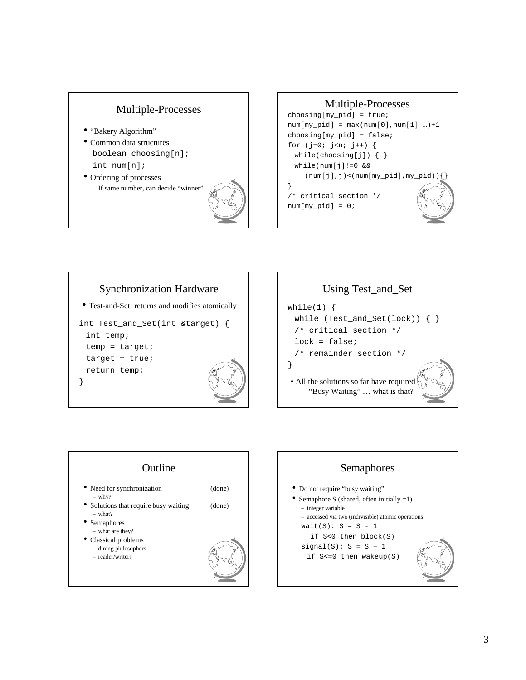## Multiple-Processes

- "Bakery Algorithm"
- Common data structures boolean choosing[n]; int num[n];
- Ordering of processes – If same number, can decide "winner"











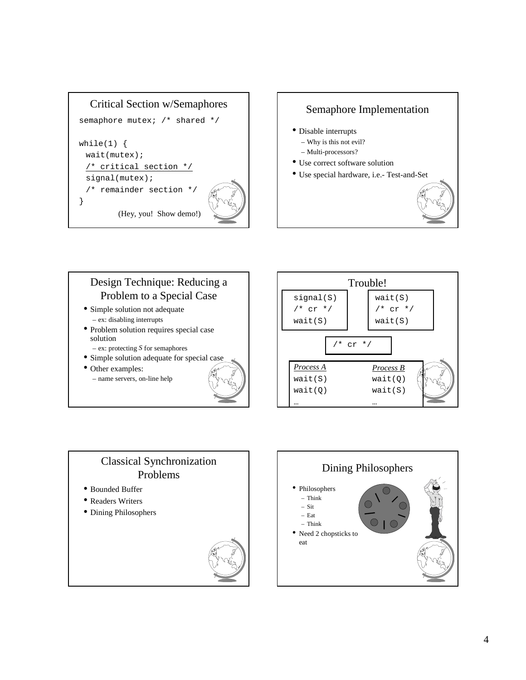

### Semaphore Implementation

- Disable interrupts
	- Why is this not evil?
	- Multi-processors?
- Use correct software solution
- Use special hardware, i.e.- Test-and-Set



## Design Technique: Reducing a Problem to a Special Case • Simple solution not adequate – ex: disabling interrupts • Problem solution requires special case solution – ex: protecting *S* for semaphores • Simple solution adequate for special case • Other examples: – name servers, on-line help



## Classical Synchronization Problems

- Bounded Buffer
- Readers Writers
- Dining Philosophers



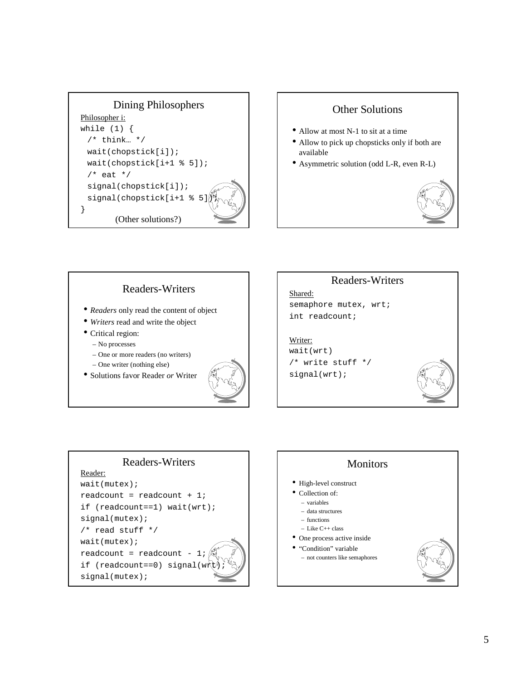

### Other Solutions

- Allow at most N-1 to sit at a time
- Allow to pick up chopsticks only if both are available
- Asymmetric solution (odd L-R, even R-L)



# Readers-Writers

- *Readers* only read the content of object
- *Writers* read and write the object
- Critical region:
	- No processes
	- One or more readers (no writers)
	- One writer (nothing else)
- Solutions favor Reader *or* Writer



## Readers-Writers

Shared: semaphore mutex, wrt; int readcount;

#### Writer: wait(wrt)

/\* write stuff \*/ signal(wrt);



#### Readers-Writers Reader: wait(mutex); readcount = readcount +  $1$ ; if (readcount==1) wait(wrt); signal(mutex); /\* read stuff \*/

wait(mutex); readcount = readcount if (readcount==0) signal(w) signal(mutex);

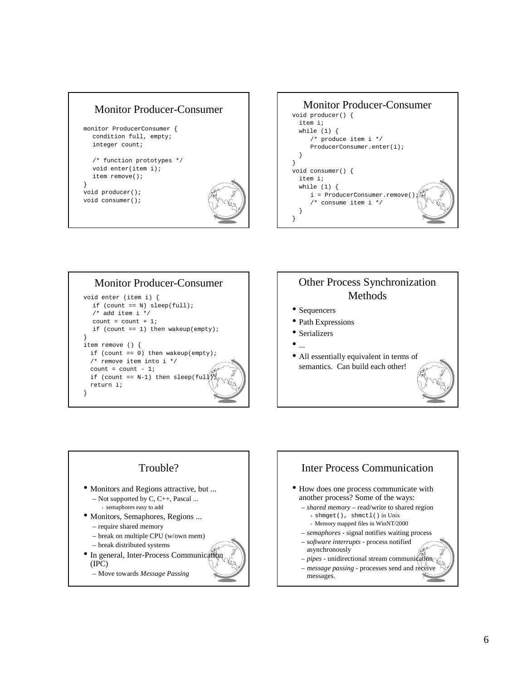





## Other Process Synchronization Methods

- Sequencers
- Path Expressions
- Serializers
- 
- All essentially equivalent in terms of semantics. Can build each other!



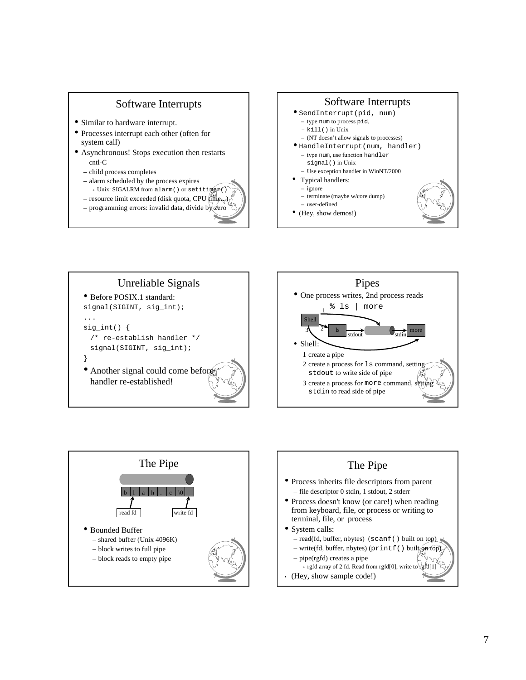#### Software Interrupts

- Similar to hardware interrupt.
- Processes interrupt each other (often for system call)
- Asynchronous! Stops execution then restarts – cntl-C
	- child process completes
	- alarm scheduled by the process expires + Unix: SIGALRM from alarm() or setit.
	- $-$  resource limit exceeded (disk quota, CPU
	- $-$  programming errors: invalid data, divide by
		-



- (Hey, show demos!)
-